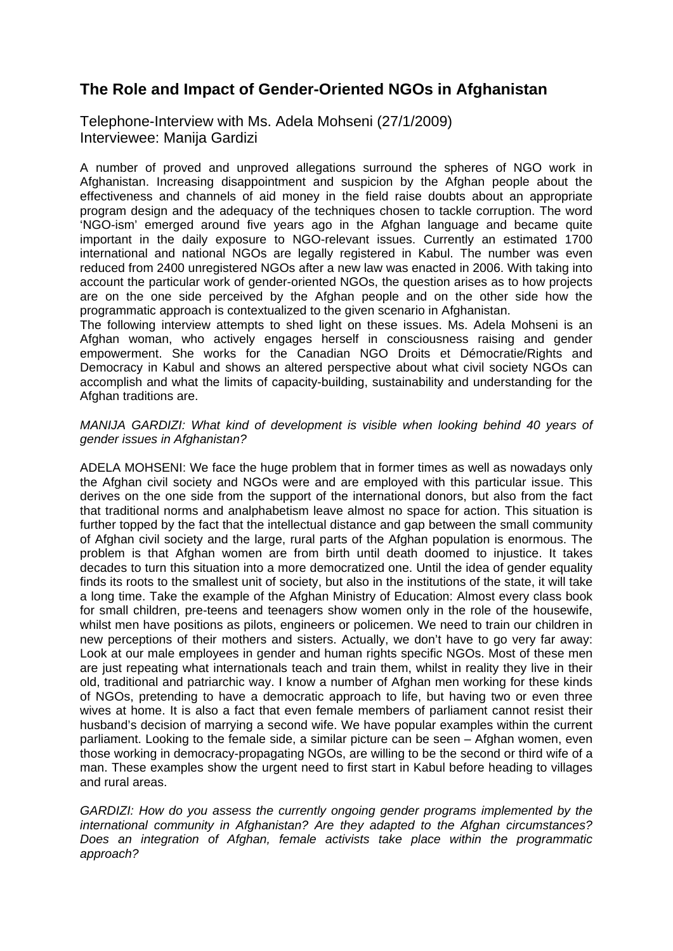## **The Role and Impact of Gender-Oriented NGOs in Afghanistan**

Telephone-Interview with Ms. Adela Mohseni (27/1/2009) Interviewee: Manija Gardizi

A number of proved and unproved allegations surround the spheres of NGO work in Afghanistan. Increasing disappointment and suspicion by the Afghan people about the effectiveness and channels of aid money in the field raise doubts about an appropriate program design and the adequacy of the techniques chosen to tackle corruption. The word 'NGO-ism' emerged around five years ago in the Afghan language and became quite important in the daily exposure to NGO-relevant issues. Currently an estimated 1700 international and national NGOs are legally registered in Kabul. The number was even reduced from 2400 unregistered NGOs after a new law was enacted in 2006. With taking into account the particular work of gender-oriented NGOs, the question arises as to how projects are on the one side perceived by the Afghan people and on the other side how the programmatic approach is contextualized to the given scenario in Afghanistan.

The following interview attempts to shed light on these issues. Ms. Adela Mohseni is an Afghan woman, who actively engages herself in consciousness raising and gender empowerment. She works for the Canadian NGO Droits et Démocratie/Rights and Democracy in Kabul and shows an altered perspective about what civil society NGOs can accomplish and what the limits of capacity-building, sustainability and understanding for the Afghan traditions are.

## *MANIJA GARDIZI: What kind of development is visible when looking behind 40 years of gender issues in Afghanistan?*

ADELA MOHSENI: We face the huge problem that in former times as well as nowadays only the Afghan civil society and NGOs were and are employed with this particular issue. This derives on the one side from the support of the international donors, but also from the fact that traditional norms and analphabetism leave almost no space for action. This situation is further topped by the fact that the intellectual distance and gap between the small community of Afghan civil society and the large, rural parts of the Afghan population is enormous. The problem is that Afghan women are from birth until death doomed to injustice. It takes decades to turn this situation into a more democratized one. Until the idea of gender equality finds its roots to the smallest unit of society, but also in the institutions of the state, it will take a long time. Take the example of the Afghan Ministry of Education: Almost every class book for small children, pre-teens and teenagers show women only in the role of the housewife, whilst men have positions as pilots, engineers or policemen. We need to train our children in new perceptions of their mothers and sisters. Actually, we don't have to go very far away: Look at our male employees in gender and human rights specific NGOs. Most of these men are just repeating what internationals teach and train them, whilst in reality they live in their old, traditional and patriarchic way. I know a number of Afghan men working for these kinds of NGOs, pretending to have a democratic approach to life, but having two or even three wives at home. It is also a fact that even female members of parliament cannot resist their husband's decision of marrying a second wife. We have popular examples within the current parliament. Looking to the female side, a similar picture can be seen – Afghan women, even those working in democracy-propagating NGOs, are willing to be the second or third wife of a man. These examples show the urgent need to first start in Kabul before heading to villages and rural areas.

*GARDIZI: How do you assess the currently ongoing gender programs implemented by the international community in Afghanistan? Are they adapted to the Afghan circumstances? Does an integration of Afghan, female activists take place within the programmatic approach?*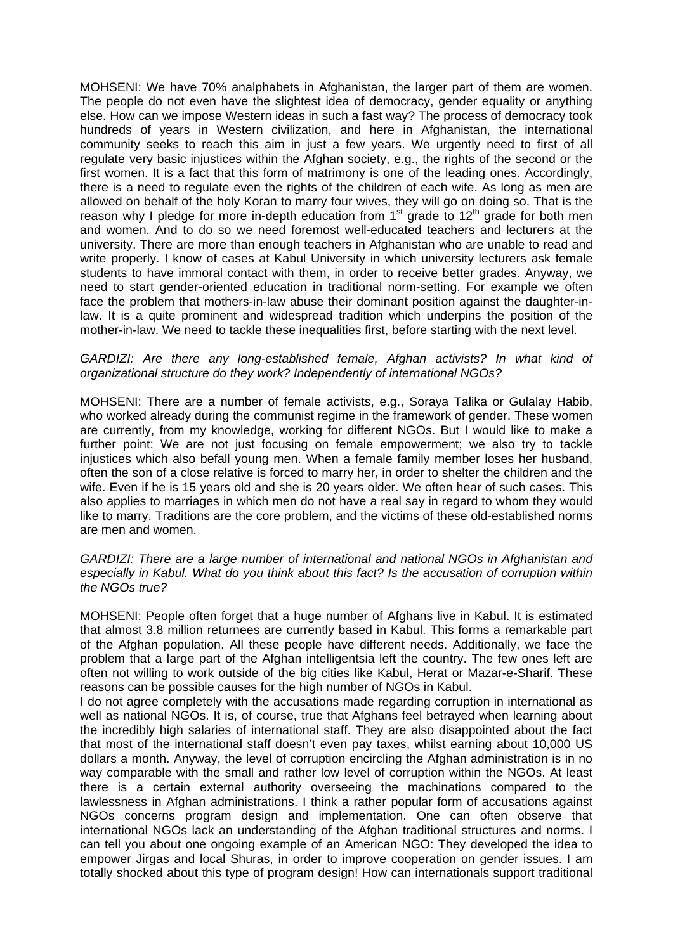MOHSENI: We have 70% analphabets in Afghanistan, the larger part of them are women. The people do not even have the slightest idea of democracy, gender equality or anything else. How can we impose Western ideas in such a fast way? The process of democracy took hundreds of years in Western civilization, and here in Afghanistan, the international community seeks to reach this aim in just a few years. We urgently need to first of all regulate very basic injustices within the Afghan society, e.g., the rights of the second or the first women. It is a fact that this form of matrimony is one of the leading ones. Accordingly, there is a need to regulate even the rights of the children of each wife. As long as men are allowed on behalf of the holy Koran to marry four wives, they will go on doing so. That is the reason why I pledge for more in-depth education from  $1<sup>st</sup>$  grade to  $12<sup>th</sup>$  grade for both men and women. And to do so we need foremost well-educated teachers and lecturers at the university. There are more than enough teachers in Afghanistan who are unable to read and write properly. I know of cases at Kabul University in which university lecturers ask female students to have immoral contact with them, in order to receive better grades. Anyway, we need to start gender-oriented education in traditional norm-setting. For example we often face the problem that mothers-in-law abuse their dominant position against the daughter-inlaw. It is a quite prominent and widespread tradition which underpins the position of the mother-in-law. We need to tackle these inequalities first, before starting with the next level.

## GARDIZI: Are there any long-established female, Afghan activists? In what kind of *organizational structure do they work? Independently of international NGOs?*

MOHSENI: There are a number of female activists, e.g., Soraya Talika or Gulalay Habib, who worked already during the communist regime in the framework of gender. These women are currently, from my knowledge, working for different NGOs. But I would like to make a further point: We are not just focusing on female empowerment; we also try to tackle injustices which also befall young men. When a female family member loses her husband, often the son of a close relative is forced to marry her, in order to shelter the children and the wife. Even if he is 15 years old and she is 20 years older. We often hear of such cases. This also applies to marriages in which men do not have a real say in regard to whom they would like to marry. Traditions are the core problem, and the victims of these old-established norms are men and women.

*GARDIZI: There are a large number of international and national NGOs in Afghanistan and especially in Kabul. What do you think about this fact? Is the accusation of corruption within the NGOs true?* 

MOHSENI: People often forget that a huge number of Afghans live in Kabul. It is estimated that almost 3.8 million returnees are currently based in Kabul. This forms a remarkable part of the Afghan population. All these people have different needs. Additionally, we face the problem that a large part of the Afghan intelligentsia left the country. The few ones left are often not willing to work outside of the big cities like Kabul, Herat or Mazar-e-Sharif. These reasons can be possible causes for the high number of NGOs in Kabul.

I do not agree completely with the accusations made regarding corruption in international as well as national NGOs. It is, of course, true that Afghans feel betrayed when learning about the incredibly high salaries of international staff. They are also disappointed about the fact that most of the international staff doesn't even pay taxes, whilst earning about 10,000 US dollars a month. Anyway, the level of corruption encircling the Afghan administration is in no way comparable with the small and rather low level of corruption within the NGOs. At least there is a certain external authority overseeing the machinations compared to the lawlessness in Afghan administrations. I think a rather popular form of accusations against NGOs concerns program design and implementation. One can often observe that international NGOs lack an understanding of the Afghan traditional structures and norms. I can tell you about one ongoing example of an American NGO: They developed the idea to empower Jirgas and local Shuras, in order to improve cooperation on gender issues. I am totally shocked about this type of program design! How can internationals support traditional